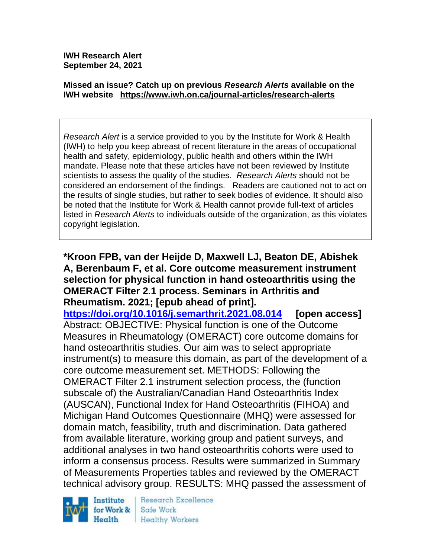**IWH Research Alert September 24, 2021**

#### **Missed an issue? Catch up on previous** *Research Alerts* **available on the [IWH website](http://www.iwh.on.ca/research-alerts) <https://www.iwh.on.ca/journal-articles/research-alerts>**

*Research Alert* is a service provided to you by the Institute for Work & Health (IWH) to help you keep abreast of recent literature in the areas of occupational health and safety, epidemiology, public health and others within the IWH mandate. Please note that these articles have not been reviewed by Institute scientists to assess the quality of the studies. *Research Alerts* should not be considered an endorsement of the findings. Readers are cautioned not to act on the results of single studies, but rather to seek bodies of evidence. It should also be noted that the Institute for Work & Health cannot provide full-text of articles listed in *Research Alerts* to individuals outside of the organization, as this violates copyright legislation.

#### **\*Kroon FPB, van der Heijde D, Maxwell LJ, Beaton DE, Abishek A, Berenbaum F, et al. Core outcome measurement instrument selection for physical function in hand osteoarthritis using the OMERACT Filter 2.1 process. Seminars in Arthritis and Rheumatism. 2021; [epub ahead of print].**

**<https://doi.org/10.1016/j.semarthrit.2021.08.014> [open access]** Abstract: OBJECTIVE: Physical function is one of the Outcome Measures in Rheumatology (OMERACT) core outcome domains for hand osteoarthritis studies. Our aim was to select appropriate instrument(s) to measure this domain, as part of the development of a core outcome measurement set. METHODS: Following the OMERACT Filter 2.1 instrument selection process, the (function subscale of) the Australian/Canadian Hand Osteoarthritis Index (AUSCAN), Functional Index for Hand Osteoarthritis (FIHOA) and Michigan Hand Outcomes Questionnaire (MHQ) were assessed for domain match, feasibility, truth and discrimination. Data gathered from available literature, working group and patient surveys, and additional analyses in two hand osteoarthritis cohorts were used to inform a consensus process. Results were summarized in Summary of Measurements Properties tables and reviewed by the OMERACT technical advisory group. RESULTS: MHQ passed the assessment of

Institute for Work & Health

Research Excellence Safe Work Healthy Workers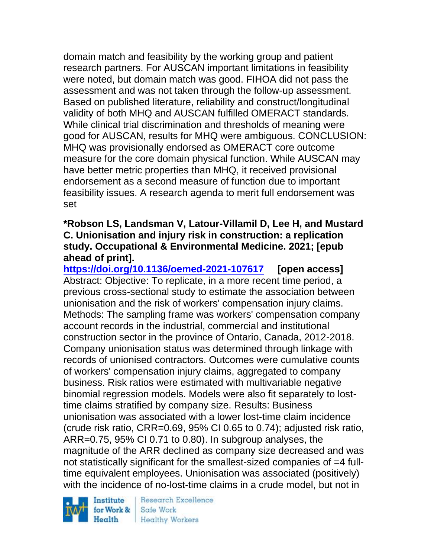domain match and feasibility by the working group and patient research partners. For AUSCAN important limitations in feasibility were noted, but domain match was good. FIHOA did not pass the assessment and was not taken through the follow-up assessment. Based on published literature, reliability and construct/longitudinal validity of both MHQ and AUSCAN fulfilled OMERACT standards. While clinical trial discrimination and thresholds of meaning were good for AUSCAN, results for MHQ were ambiguous. CONCLUSION: MHQ was provisionally endorsed as OMERACT core outcome measure for the core domain physical function. While AUSCAN may have better metric properties than MHQ, it received provisional endorsement as a second measure of function due to important feasibility issues. A research agenda to merit full endorsement was set

#### **\*Robson LS, Landsman V, Latour-Villamil D, Lee H, and Mustard C. Unionisation and injury risk in construction: a replication study. Occupational & Environmental Medicine. 2021; [epub ahead of print].**

**<https://doi.org/10.1136/oemed-2021-107617> [open access]** Abstract: Objective: To replicate, in a more recent time period, a previous cross-sectional study to estimate the association between unionisation and the risk of workers' compensation injury claims. Methods: The sampling frame was workers' compensation company account records in the industrial, commercial and institutional construction sector in the province of Ontario, Canada, 2012-2018. Company unionisation status was determined through linkage with records of unionised contractors. Outcomes were cumulative counts of workers' compensation injury claims, aggregated to company business. Risk ratios were estimated with multivariable negative binomial regression models. Models were also fit separately to losttime claims stratified by company size. Results: Business unionisation was associated with a lower lost-time claim incidence (crude risk ratio, CRR=0.69, 95% CI 0.65 to 0.74); adjusted risk ratio, ARR=0.75, 95% CI 0.71 to 0.80). In subgroup analyses, the magnitude of the ARR declined as company size decreased and was not statistically significant for the smallest-sized companies of =4 fulltime equivalent employees. Unionisation was associated (positively) with the incidence of no-lost-time claims in a crude model, but not in

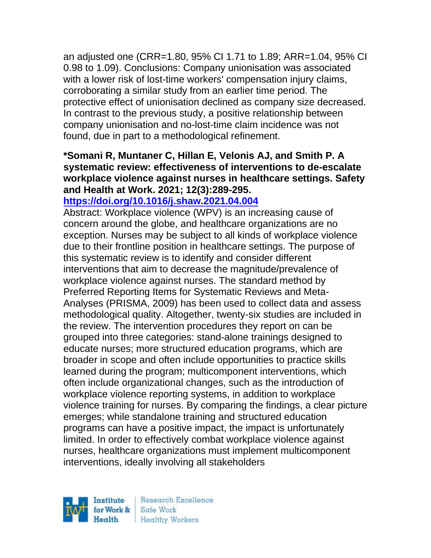an adjusted one (CRR=1.80, 95% CI 1.71 to 1.89; ARR=1.04, 95% CI 0.98 to 1.09). Conclusions: Company unionisation was associated with a lower risk of lost-time workers' compensation injury claims, corroborating a similar study from an earlier time period. The protective effect of unionisation declined as company size decreased. In contrast to the previous study, a positive relationship between company unionisation and no-lost-time claim incidence was not found, due in part to a methodological refinement.

# **\*Somani R, Muntaner C, Hillan E, Velonis AJ, and Smith P. A systematic review: effectiveness of interventions to de-escalate workplace violence against nurses in healthcare settings. Safety and Health at Work. 2021; 12(3):289-295.**

# **<https://doi.org/10.1016/j.shaw.2021.04.004>**

Abstract: Workplace violence (WPV) is an increasing cause of concern around the globe, and healthcare organizations are no exception. Nurses may be subject to all kinds of workplace violence due to their frontline position in healthcare settings. The purpose of this systematic review is to identify and consider different interventions that aim to decrease the magnitude/prevalence of workplace violence against nurses. The standard method by Preferred Reporting Items for Systematic Reviews and Meta-Analyses (PRISMA, 2009) has been used to collect data and assess methodological quality. Altogether, twenty-six studies are included in the review. The intervention procedures they report on can be grouped into three categories: stand-alone trainings designed to educate nurses; more structured education programs, which are broader in scope and often include opportunities to practice skills learned during the program; multicomponent interventions, which often include organizational changes, such as the introduction of workplace violence reporting systems, in addition to workplace violence training for nurses. By comparing the findings, a clear picture emerges; while standalone training and structured education programs can have a positive impact, the impact is unfortunately limited. In order to effectively combat workplace violence against nurses, healthcare organizations must implement multicomponent interventions, ideally involving all stakeholders

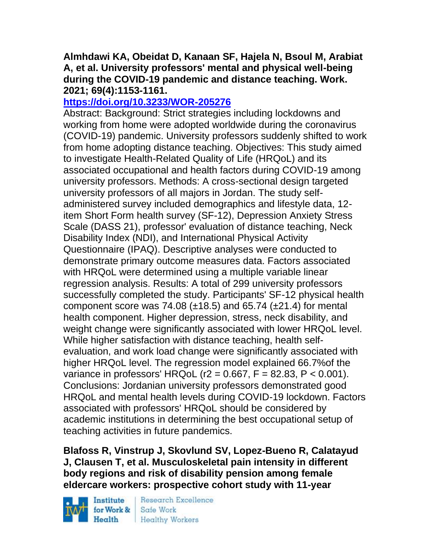#### **Almhdawi KA, Obeidat D, Kanaan SF, Hajela N, Bsoul M, Arabiat A, et al. University professors' mental and physical well-being during the COVID-19 pandemic and distance teaching. Work. 2021; 69(4):1153-1161.**

# **<https://doi.org/10.3233/WOR-205276>**

Abstract: Background: Strict strategies including lockdowns and working from home were adopted worldwide during the coronavirus (COVID-19) pandemic. University professors suddenly shifted to work from home adopting distance teaching. Objectives: This study aimed to investigate Health-Related Quality of Life (HRQoL) and its associated occupational and health factors during COVID-19 among university professors. Methods: A cross-sectional design targeted university professors of all majors in Jordan. The study selfadministered survey included demographics and lifestyle data, 12 item Short Form health survey (SF-12), Depression Anxiety Stress Scale (DASS 21), professor' evaluation of distance teaching, Neck Disability Index (NDI), and International Physical Activity Questionnaire (IPAQ). Descriptive analyses were conducted to demonstrate primary outcome measures data. Factors associated with HRQoL were determined using a multiple variable linear regression analysis. Results: A total of 299 university professors successfully completed the study. Participants' SF-12 physical health component score was 74.08 ( $\pm$ 18.5) and 65.74 ( $\pm$ 21.4) for mental health component. Higher depression, stress, neck disability, and weight change were significantly associated with lower HRQoL level. While higher satisfaction with distance teaching, health selfevaluation, and work load change were significantly associated with higher HRQoL level. The regression model explained 66.7%of the variance in professors' HRQoL ( $r2 = 0.667$ ,  $F = 82.83$ ,  $P < 0.001$ ). Conclusions: Jordanian university professors demonstrated good HRQoL and mental health levels during COVID-19 lockdown. Factors associated with professors' HRQoL should be considered by academic institutions in determining the best occupational setup of teaching activities in future pandemics.

**Blafoss R, Vinstrup J, Skovlund SV, Lopez-Bueno R, Calatayud J, Clausen T, et al. Musculoskeletal pain intensity in different body regions and risk of disability pension among female eldercare workers: prospective cohort study with 11-year** 

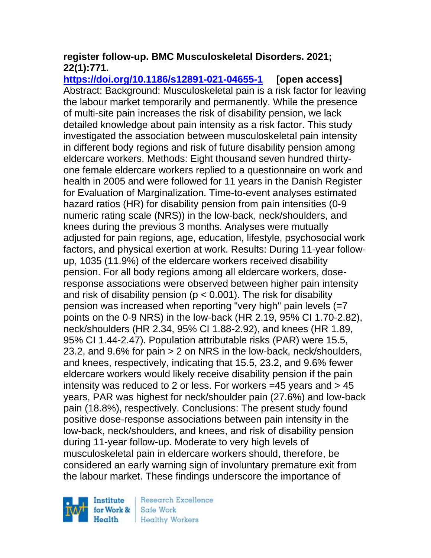## **register follow-up. BMC Musculoskeletal Disorders. 2021; 22(1):771.**

**<https://doi.org/10.1186/s12891-021-04655-1> [open access]** Abstract: Background: Musculoskeletal pain is a risk factor for leaving the labour market temporarily and permanently. While the presence of multi-site pain increases the risk of disability pension, we lack detailed knowledge about pain intensity as a risk factor. This study investigated the association between musculoskeletal pain intensity in different body regions and risk of future disability pension among eldercare workers. Methods: Eight thousand seven hundred thirtyone female eldercare workers replied to a questionnaire on work and health in 2005 and were followed for 11 years in the Danish Register for Evaluation of Marginalization. Time-to-event analyses estimated hazard ratios (HR) for disability pension from pain intensities (0-9 numeric rating scale (NRS)) in the low-back, neck/shoulders, and knees during the previous 3 months. Analyses were mutually adjusted for pain regions, age, education, lifestyle, psychosocial work factors, and physical exertion at work. Results: During 11-year followup, 1035 (11.9%) of the eldercare workers received disability pension. For all body regions among all eldercare workers, doseresponse associations were observed between higher pain intensity and risk of disability pension ( $p < 0.001$ ). The risk for disability pension was increased when reporting "very high" pain levels (=7 points on the 0-9 NRS) in the low-back (HR 2.19, 95% CI 1.70-2.82), neck/shoulders (HR 2.34, 95% CI 1.88-2.92), and knees (HR 1.89, 95% CI 1.44-2.47). Population attributable risks (PAR) were 15.5, 23.2, and 9.6% for pain > 2 on NRS in the low-back, neck/shoulders, and knees, respectively, indicating that 15.5, 23.2, and 9.6% fewer eldercare workers would likely receive disability pension if the pain intensity was reduced to 2 or less. For workers =45 years and > 45 years, PAR was highest for neck/shoulder pain (27.6%) and low-back pain (18.8%), respectively. Conclusions: The present study found positive dose-response associations between pain intensity in the low-back, neck/shoulders, and knees, and risk of disability pension during 11-year follow-up. Moderate to very high levels of musculoskeletal pain in eldercare workers should, therefore, be considered an early warning sign of involuntary premature exit from the labour market. These findings underscore the importance of

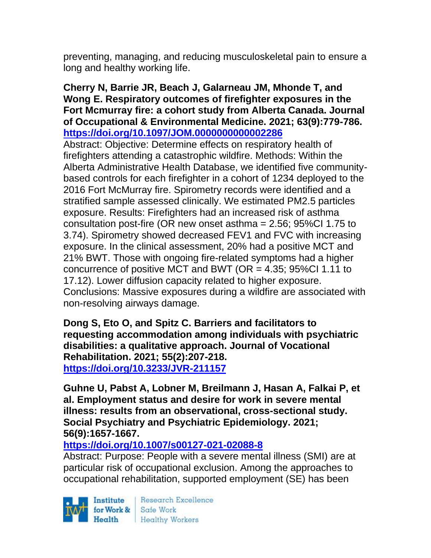preventing, managing, and reducing musculoskeletal pain to ensure a long and healthy working life.

#### **Cherry N, Barrie JR, Beach J, Galarneau JM, Mhonde T, and Wong E. Respiratory outcomes of firefighter exposures in the Fort Mcmurray fire: a cohort study from Alberta Canada. Journal of Occupational & Environmental Medicine. 2021; 63(9):779-786. <https://doi.org/10.1097/JOM.0000000000002286>**

Abstract: Objective: Determine effects on respiratory health of firefighters attending a catastrophic wildfire. Methods: Within the Alberta Administrative Health Database, we identified five communitybased controls for each firefighter in a cohort of 1234 deployed to the 2016 Fort McMurray fire. Spirometry records were identified and a stratified sample assessed clinically. We estimated PM2.5 particles exposure. Results: Firefighters had an increased risk of asthma consultation post-fire (OR new onset asthma = 2.56; 95%CI 1.75 to 3.74). Spirometry showed decreased FEV1 and FVC with increasing exposure. In the clinical assessment, 20% had a positive MCT and 21% BWT. Those with ongoing fire-related symptoms had a higher concurrence of positive MCT and BWT (OR = 4.35; 95%CI 1.11 to 17.12). Lower diffusion capacity related to higher exposure. Conclusions: Massive exposures during a wildfire are associated with non-resolving airways damage.

**Dong S, Eto O, and Spitz C. Barriers and facilitators to requesting accommodation among individuals with psychiatric disabilities: a qualitative approach. Journal of Vocational Rehabilitation. 2021; 55(2):207-218.** 

**<https://doi.org/10.3233/JVR-211157>** 

**Guhne U, Pabst A, Lobner M, Breilmann J, Hasan A, Falkai P, et al. Employment status and desire for work in severe mental illness: results from an observational, cross-sectional study. Social Psychiatry and Psychiatric Epidemiology. 2021; 56(9):1657-1667.** 

**<https://doi.org/10.1007/s00127-021-02088-8>** 

Abstract: Purpose: People with a severe mental illness (SMI) are at particular risk of occupational exclusion. Among the approaches to occupational rehabilitation, supported employment (SE) has been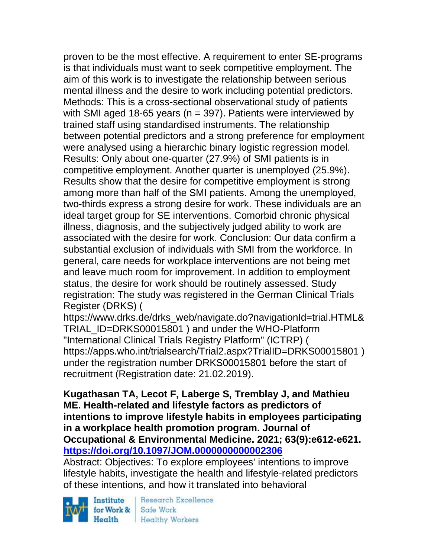proven to be the most effective. A requirement to enter SE-programs is that individuals must want to seek competitive employment. The aim of this work is to investigate the relationship between serious mental illness and the desire to work including potential predictors. Methods: This is a cross-sectional observational study of patients with SMI aged 18-65 years ( $n = 397$ ). Patients were interviewed by trained staff using standardised instruments. The relationship between potential predictors and a strong preference for employment were analysed using a hierarchic binary logistic regression model. Results: Only about one-quarter (27.9%) of SMI patients is in competitive employment. Another quarter is unemployed (25.9%). Results show that the desire for competitive employment is strong among more than half of the SMI patients. Among the unemployed, two-thirds express a strong desire for work. These individuals are an ideal target group for SE interventions. Comorbid chronic physical illness, diagnosis, and the subjectively judged ability to work are associated with the desire for work. Conclusion: Our data confirm a substantial exclusion of individuals with SMI from the workforce. In general, care needs for workplace interventions are not being met and leave much room for improvement. In addition to employment status, the desire for work should be routinely assessed. Study registration: The study was registered in the German Clinical Trials Register (DRKS) (

https://www.drks.de/drks\_web/navigate.do?navigationId=trial.HTML& TRIAL\_ID=DRKS00015801 ) and under the WHO-Platform "International Clinical Trials Registry Platform" (ICTRP) ( https://apps.who.int/trialsearch/Trial2.aspx?TrialID=DRKS00015801) under the registration number DRKS00015801 before the start of recruitment (Registration date: 21.02.2019).

**Kugathasan TA, Lecot F, Laberge S, Tremblay J, and Mathieu ME. Health-related and lifestyle factors as predictors of intentions to improve lifestyle habits in employees participating in a workplace health promotion program. Journal of Occupational & Environmental Medicine. 2021; 63(9):e612-e621. <https://doi.org/10.1097/JOM.0000000000002306>** 

Abstract: Objectives: To explore employees' intentions to improve lifestyle habits, investigate the health and lifestyle-related predictors of these intentions, and how it translated into behavioral

Institute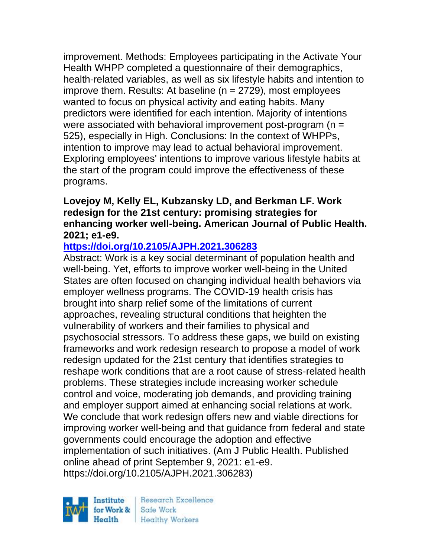improvement. Methods: Employees participating in the Activate Your Health WHPP completed a questionnaire of their demographics, health-related variables, as well as six lifestyle habits and intention to improve them. Results: At baseline  $(n = 2729)$ , most employees wanted to focus on physical activity and eating habits. Many predictors were identified for each intention. Majority of intentions were associated with behavioral improvement post-program ( $n =$ 525), especially in High. Conclusions: In the context of WHPPs, intention to improve may lead to actual behavioral improvement. Exploring employees' intentions to improve various lifestyle habits at the start of the program could improve the effectiveness of these programs.

#### **Lovejoy M, Kelly EL, Kubzansky LD, and Berkman LF. Work redesign for the 21st century: promising strategies for enhancing worker well-being. American Journal of Public Health. 2021; e1-e9.**

# **<https://doi.org/10.2105/AJPH.2021.306283>**

Abstract: Work is a key social determinant of population health and well-being. Yet, efforts to improve worker well-being in the United States are often focused on changing individual health behaviors via employer wellness programs. The COVID-19 health crisis has brought into sharp relief some of the limitations of current approaches, revealing structural conditions that heighten the vulnerability of workers and their families to physical and psychosocial stressors. To address these gaps, we build on existing frameworks and work redesign research to propose a model of work redesign updated for the 21st century that identifies strategies to reshape work conditions that are a root cause of stress-related health problems. These strategies include increasing worker schedule control and voice, moderating job demands, and providing training and employer support aimed at enhancing social relations at work. We conclude that work redesign offers new and viable directions for improving worker well-being and that guidance from federal and state governments could encourage the adoption and effective implementation of such initiatives. (Am J Public Health. Published online ahead of print September 9, 2021: e1-e9. https://doi.org/10.2105/AJPH.2021.306283)

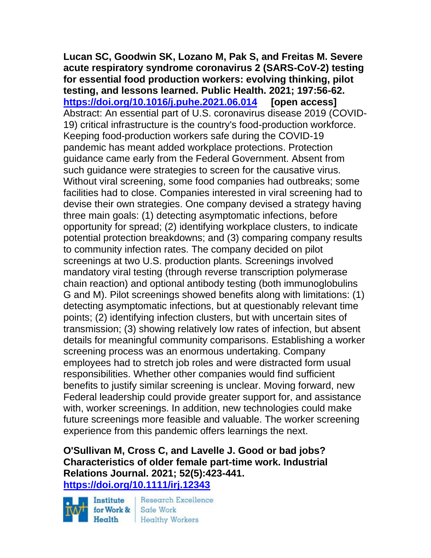**Lucan SC, Goodwin SK, Lozano M, Pak S, and Freitas M. Severe acute respiratory syndrome coronavirus 2 (SARS-CoV-2) testing for essential food production workers: evolving thinking, pilot testing, and lessons learned. Public Health. 2021; 197:56-62. <https://doi.org/10.1016/j.puhe.2021.06.014> [open access]** Abstract: An essential part of U.S. coronavirus disease 2019 (COVID-19) critical infrastructure is the country's food-production workforce. Keeping food-production workers safe during the COVID-19 pandemic has meant added workplace protections. Protection guidance came early from the Federal Government. Absent from such guidance were strategies to screen for the causative virus. Without viral screening, some food companies had outbreaks; some facilities had to close. Companies interested in viral screening had to devise their own strategies. One company devised a strategy having three main goals: (1) detecting asymptomatic infections, before opportunity for spread; (2) identifying workplace clusters, to indicate potential protection breakdowns; and (3) comparing company results to community infection rates. The company decided on pilot screenings at two U.S. production plants. Screenings involved mandatory viral testing (through reverse transcription polymerase chain reaction) and optional antibody testing (both immunoglobulins G and M). Pilot screenings showed benefits along with limitations: (1) detecting asymptomatic infections, but at questionably relevant time points; (2) identifying infection clusters, but with uncertain sites of transmission; (3) showing relatively low rates of infection, but absent details for meaningful community comparisons. Establishing a worker screening process was an enormous undertaking. Company employees had to stretch job roles and were distracted form usual responsibilities. Whether other companies would find sufficient benefits to justify similar screening is unclear. Moving forward, new Federal leadership could provide greater support for, and assistance with, worker screenings. In addition, new technologies could make future screenings more feasible and valuable. The worker screening experience from this pandemic offers learnings the next.

# **O'Sullivan M, Cross C, and Lavelle J. Good or bad jobs? Characteristics of older female part-time work. Industrial Relations Journal. 2021; 52(5):423-441.**

**<https://doi.org/10.1111/irj.12343>** 

Institute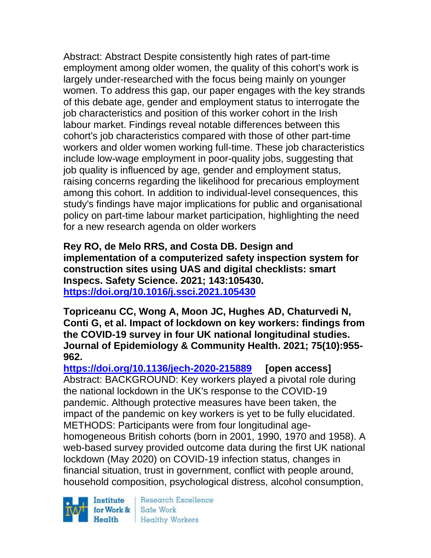Abstract: Abstract Despite consistently high rates of part-time employment among older women, the quality of this cohort's work is largely under-researched with the focus being mainly on younger women. To address this gap, our paper engages with the key strands of this debate age, gender and employment status to interrogate the job characteristics and position of this worker cohort in the Irish labour market. Findings reveal notable differences between this cohort's job characteristics compared with those of other part-time workers and older women working full-time. These job characteristics include low-wage employment in poor-quality jobs, suggesting that job quality is influenced by age, gender and employment status, raising concerns regarding the likelihood for precarious employment among this cohort. In addition to individual-level consequences, this study's findings have major implications for public and organisational policy on part-time labour market participation, highlighting the need for a new research agenda on older workers

**Rey RO, de Melo RRS, and Costa DB. Design and implementation of a computerized safety inspection system for construction sites using UAS and digital checklists: smart Inspecs. Safety Science. 2021; 143:105430. <https://doi.org/10.1016/j.ssci.2021.105430>** 

**Topriceanu CC, Wong A, Moon JC, Hughes AD, Chaturvedi N, Conti G, et al. Impact of lockdown on key workers: findings from the COVID-19 survey in four UK national longitudinal studies. Journal of Epidemiology & Community Health. 2021; 75(10):955- 962.** 

**<https://doi.org/10.1136/jech-2020-215889> [open access]** Abstract: BACKGROUND: Key workers played a pivotal role during the national lockdown in the UK's response to the COVID-19 pandemic. Although protective measures have been taken, the impact of the pandemic on key workers is yet to be fully elucidated. METHODS: Participants were from four longitudinal agehomogeneous British cohorts (born in 2001, 1990, 1970 and 1958). A web-based survey provided outcome data during the first UK national lockdown (May 2020) on COVID-19 infection status, changes in financial situation, trust in government, conflict with people around, household composition, psychological distress, alcohol consumption,

Institute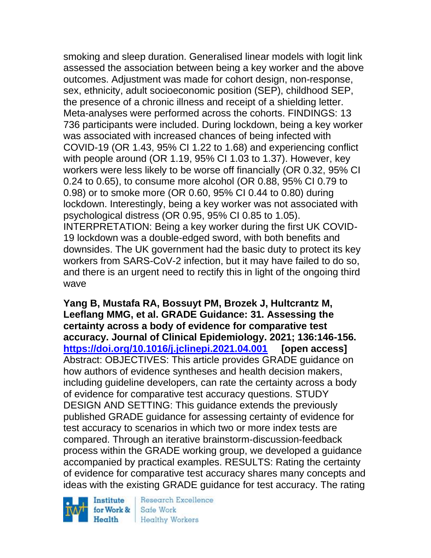smoking and sleep duration. Generalised linear models with logit link assessed the association between being a key worker and the above outcomes. Adjustment was made for cohort design, non-response, sex, ethnicity, adult socioeconomic position (SEP), childhood SEP, the presence of a chronic illness and receipt of a shielding letter. Meta-analyses were performed across the cohorts. FINDINGS: 13 736 participants were included. During lockdown, being a key worker was associated with increased chances of being infected with COVID-19 (OR 1.43, 95% CI 1.22 to 1.68) and experiencing conflict with people around (OR 1.19, 95% CI 1.03 to 1.37). However, key workers were less likely to be worse off financially (OR 0.32, 95% CI 0.24 to 0.65), to consume more alcohol (OR 0.88, 95% CI 0.79 to 0.98) or to smoke more (OR 0.60, 95% CI 0.44 to 0.80) during lockdown. Interestingly, being a key worker was not associated with psychological distress (OR 0.95, 95% CI 0.85 to 1.05). INTERPRETATION: Being a key worker during the first UK COVID-19 lockdown was a double-edged sword, with both benefits and downsides. The UK government had the basic duty to protect its key workers from SARS-CoV-2 infection, but it may have failed to do so, and there is an urgent need to rectify this in light of the ongoing third wave

**Yang B, Mustafa RA, Bossuyt PM, Brozek J, Hultcrantz M, Leeflang MMG, et al. GRADE Guidance: 31. Assessing the certainty across a body of evidence for comparative test accuracy. Journal of Clinical Epidemiology. 2021; 136:146-156. <https://doi.org/10.1016/j.jclinepi.2021.04.001> [open access]** Abstract: OBJECTIVES: This article provides GRADE guidance on how authors of evidence syntheses and health decision makers, including guideline developers, can rate the certainty across a body of evidence for comparative test accuracy questions. STUDY DESIGN AND SETTING: This guidance extends the previously published GRADE guidance for assessing certainty of evidence for test accuracy to scenarios in which two or more index tests are compared. Through an iterative brainstorm-discussion-feedback process within the GRADE working group, we developed a guidance accompanied by practical examples. RESULTS: Rating the certainty of evidence for comparative test accuracy shares many concepts and ideas with the existing GRADE guidance for test accuracy. The rating